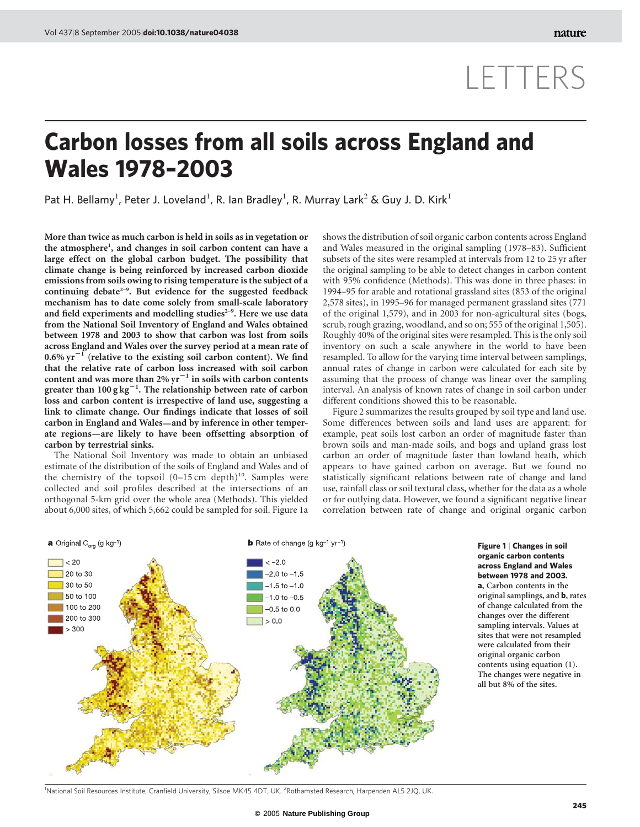# LETTERS

## Carbon losses from all soils across England and Wales 1978–2003

Pat H. Bellamy<sup>1</sup>, Peter J. Loveland<sup>1</sup>, R. Ian Bradley<sup>1</sup>, R. Murray Lark<sup>2</sup> & Guy J. D. Kirk<sup>1</sup>

More than twice as much carbon is held in soils as in vegetation or the atmosphere<sup>1</sup>, and changes in soil carbon content can have a large effect on the global carbon budget. The possibility that climate change is being reinforced by increased carbon dioxide emissions from soils owing to rising temperature is the subject of a continuing debate<sup> $2-9$ </sup>. But evidence for the suggested feedback mechanism has to date come solely from small-scale laboratory and field experiments and modelling studies $2-9$ . Here we use data from the National Soil Inventory of England and Wales obtained between 1978 and 2003 to show that carbon was lost from soils across England and Wales over the survey period at a mean rate of  $0.6\%$  yr<sup>-1</sup> (relative to the existing soil carbon content). We find that the relative rate of carbon loss increased with soil carbon content and was more than 2%  $\rm{yr}^{-1}$  in soils with carbon contents greater than 100 g  $\text{kg}^{-1}.$  The relationship between rate of carbon loss and carbon content is irrespective of land use, suggesting a link to climate change. Our findings indicate that losses of soil carbon in England and Wales—and by inference in other temperate regions—are likely to have been offsetting absorption of carbon by terrestrial sinks.

The National Soil Inventory was made to obtain an unbiased estimate of the distribution of the soils of England and Wales and of the chemistry of the topsoil  $(0-15 \text{ cm depth})^{10}$ . Samples were collected and soil profiles described at the intersections of an orthogonal 5-km grid over the whole area (Methods). This yielded about 6,000 sites, of which 5,662 could be sampled for soil. Figure 1a

shows the distribution of soil organic carbon contents across England and Wales measured in the original sampling (1978–83). Sufficient subsets of the sites were resampled at intervals from 12 to 25 yr after the original sampling to be able to detect changes in carbon content with 95% confidence (Methods). This was done in three phases: in 1994–95 for arable and rotational grassland sites (853 of the original 2,578 sites), in 1995–96 for managed permanent grassland sites (771 of the original 1,579), and in 2003 for non-agricultural sites (bogs, scrub, rough grazing, woodland, and so on; 555 of the original 1,505). Roughly 40% of the original sites were resampled. This is the only soil inventory on such a scale anywhere in the world to have been resampled. To allow for the varying time interval between samplings, annual rates of change in carbon were calculated for each site by assuming that the process of change was linear over the sampling interval. An analysis of known rates of change in soil carbon under different conditions showed this to be reasonable.

Figure 2 summarizes the results grouped by soil type and land use. Some differences between soils and land uses are apparent: for example, peat soils lost carbon an order of magnitude faster than brown soils and man-made soils, and bogs and upland grass lost carbon an order of magnitude faster than lowland heath, which appears to have gained carbon on average. But we found no statistically significant relations between rate of change and land use, rainfall class or soil textural class, whether for the data as a whole or for outlying data. However, we found a significant negative linear correlation between rate of change and original organic carbon



### Figure 1 | Changes in soil organic carbon contents across England and Wales between 1978 and 2003.

a, Carbon contents in the original samplings, and b, rates of change calculated from the changes over the different sampling intervals. Values at sites that were not resampled were calculated from their original organic carbon contents using equation (1). The changes were negative in all but 8% of the sites.

<sup>1</sup>National Soil Resources Institute, Cranfield University, Silsoe MK45 4DT, UK. <sup>2</sup>Rothamsted Research, Harpenden AL5 2JQ, UK.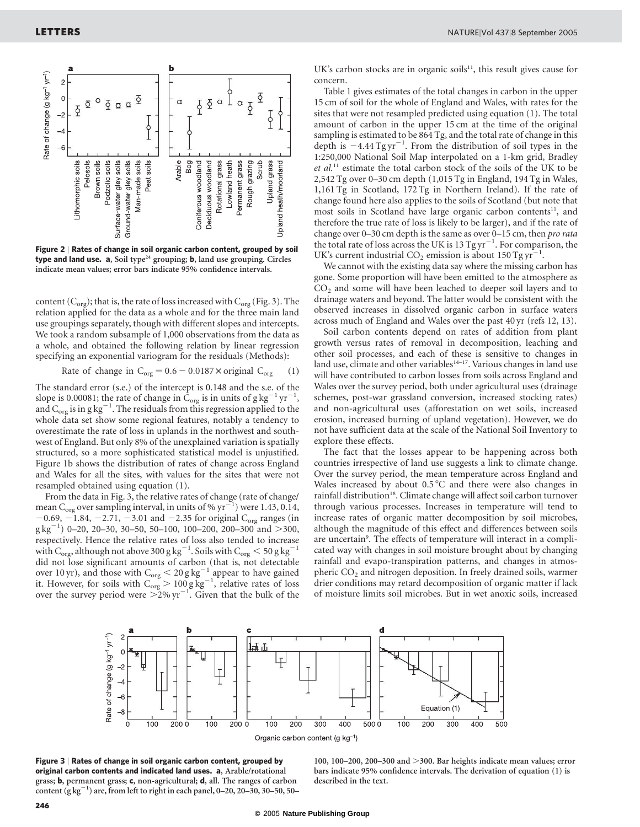

Figure 2 | Rates of change in soil organic carbon content, grouped by soil type and land use.  $a$ , Soil type<sup>24</sup> grouping;  $b$ , land use grouping. Circles indicate mean values; error bars indicate 95% confidence intervals.

content ( $C_{org}$ ); that is, the rate of loss increased with  $C_{org}$  (Fig. 3). The relation applied for the data as a whole and for the three main land use groupings separately, though with different slopes and intercepts. We took a random subsample of 1,000 observations from the data as a whole, and obtained the following relation by linear regression specifying an exponential variogram for the residuals (Methods):

Rate of change in 
$$
C_{org} = 0.6 - 0.0187 \times \text{original } C_{org}
$$
 (1)

The standard error (s.e.) of the intercept is 0.148 and the s.e. of the slope is 0.00081; the rate of change in  $\dot{C}_{org}$  is in units of  $g\, kg^{-1}\, yr^{-1}$ , and  $C_{org}$  is in g kg<sup>-1</sup>. The residuals from this regression applied to the whole data set show some regional features, notably a tendency to overestimate the rate of loss in uplands in the northwest and southwest of England. But only 8% of the unexplained variation is spatially structured, so a more sophisticated statistical model is unjustified. Figure 1b shows the distribution of rates of change across England and Wales for all the sites, with values for the sites that were not resampled obtained using equation (1).

From the data in Fig. 3, the relative rates of change (rate of change/ mean C<sub>org</sub> over sampling interval, in units of %  $\text{yr}^{-1}$ ) were 1.43, 0.14,  $-0.69, -1.84, -2.71, -3.01$  and  $-2.35$  for original C<sub>org</sub> ranges (in  $g \text{ kg}^{-1}$ ) 0–20, 20–30, 30–50, 50–100, 100–200, 200–300 and >300, respectively. Hence the relative rates of loss also tended to increase with  $\rm{C_{org}}$ , although not above 300 g kg $^{-1}$ . Soils with  $\rm{C_{org}}$   $<$  50 g kg $^{-1}$ did not lose significant amounts of carbon (that is, not detectable over 10 yr), and those with  $C_{org} < 20 g kg^{-1}$  appear to have gained it. However, for soils with  $C_{org} > 100$  g kg<sup>-1</sup>, relative rates of loss over the survey period were  $>2\%$  yr<sup>-1</sup>. Given that the bulk of the UK's carbon stocks are in organic soils $11$ , this result gives cause for concern.

Table 1 gives estimates of the total changes in carbon in the upper 15 cm of soil for the whole of England and Wales, with rates for the sites that were not resampled predicted using equation (1). The total amount of carbon in the upper 15 cm at the time of the original sampling is estimated to be 864 Tg, and the total rate of change in this depth is  $-4.44$  Tg yr<sup>-1</sup>. From the distribution of soil types in the 1:250,000 National Soil Map interpolated on a 1-km grid, Bradley et al.<sup>11</sup> estimate the total carbon stock of the soils of the UK to be 2,542 Tg over 0–30 cm depth (1,015 Tg in England, 194 Tg in Wales, 1,161 Tg in Scotland, 172 Tg in Northern Ireland). If the rate of change found here also applies to the soils of Scotland (but note that most soils in Scotland have large organic carbon contents<sup>11</sup>, and therefore the true rate of loss is likely to be larger), and if the rate of change over 0–30 cm depth is the same as over 0–15 cm, then pro rata the total rate of loss across the UK is 13 Tg yr<sup>-1</sup>. For comparison, the UK's current industrial CO<sub>2</sub> emission is about 150 Tg yr<sup>-1</sup>.

We cannot with the existing data say where the missing carbon has gone. Some proportion will have been emitted to the atmosphere as  $CO<sub>2</sub>$  and some will have been leached to deeper soil layers and to drainage waters and beyond. The latter would be consistent with the observed increases in dissolved organic carbon in surface waters across much of England and Wales over the past 40 yr (refs 12, 13).

Soil carbon contents depend on rates of addition from plant growth versus rates of removal in decomposition, leaching and other soil processes, and each of these is sensitive to changes in land use, climate and other variables<sup>14-17</sup>. Various changes in land use will have contributed to carbon losses from soils across England and Wales over the survey period, both under agricultural uses (drainage schemes, post-war grassland conversion, increased stocking rates) and non-agricultural uses (afforestation on wet soils, increased erosion, increased burning of upland vegetation). However, we do not have sufficient data at the scale of the National Soil Inventory to explore these effects.

The fact that the losses appear to be happening across both countries irrespective of land use suggests a link to climate change. Over the survey period, the mean temperature across England and Wales increased by about  $0.5\,^{\circ}\text{C}$  and there were also changes in rainfall distribution<sup>18</sup>. Climate change will affect soil carbon turnover through various processes. Increases in temperature will tend to increase rates of organic matter decomposition by soil microbes, although the magnitude of this effect and differences between soils are uncertain<sup>9</sup>. The effects of temperature will interact in a complicated way with changes in soil moisture brought about by changing rainfall and evapo-transpiration patterns, and changes in atmospheric CO<sub>2</sub> and nitrogen deposition. In freely drained soils, warmer drier conditions may retard decomposition of organic matter if lack of moisture limits soil microbes. But in wet anoxic soils, increased



Figure 3 | Rates of change in soil organic carbon content, grouped by original carbon contents and indicated land uses. a, Arable/rotational grass; b, permanent grass; c, non-agricultural; d, all. The ranges of carbon content  $(g kg^{-1})$  are, from left to right in each panel, 0–20, 20–30, 30–50, 50–

100, 100–200, 200–300 and  $>$ 300. Bar heights indicate mean values; error bars indicate 95% confidence intervals. The derivation of equation (1) is described in the text.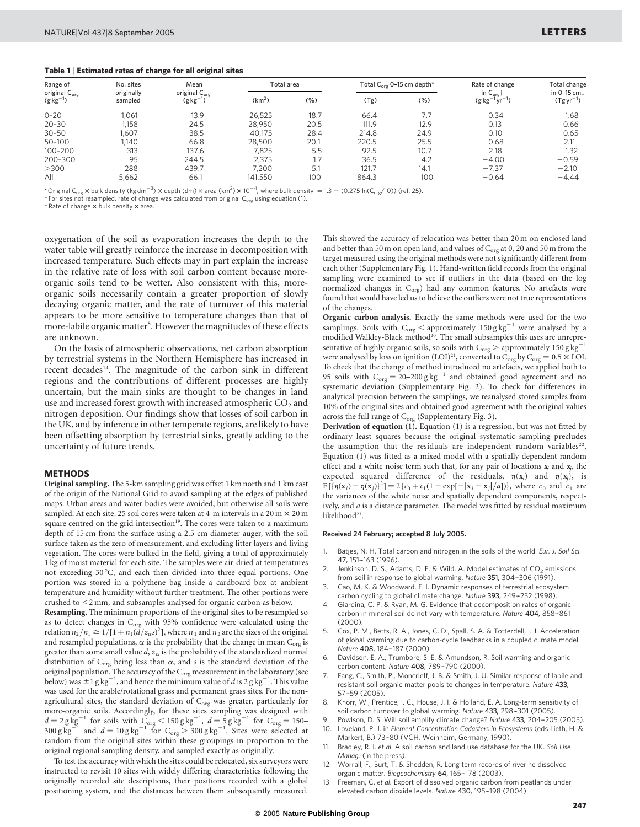#### Table 1 | Estimated rates of change for all original sites

| Range of<br>original C <sub>org</sub><br>$(g kg^{-1})$ | No. sites<br>originally<br>sampled | Mean<br>original C <sub>org</sub><br>$(g kg^{-1})$ | Total area         |      | Total C <sub>org</sub> 0-15 cm depth <sup>*</sup> |      | Rate of change                                                                 | Total change                 |
|--------------------------------------------------------|------------------------------------|----------------------------------------------------|--------------------|------|---------------------------------------------------|------|--------------------------------------------------------------------------------|------------------------------|
|                                                        |                                    |                                                    | (km <sup>2</sup> ) | (%)  | (Tg)                                              | (% ) | in $C_{\text{org}}$ <sup>+</sup><br>$\sqrt{1}$ vr <sup>-1</sup> )<br>$(g kg^-$ | in 0-15 cm:<br>$(Tgyr^{-1})$ |
| $0 - 20$                                               | 1.061                              | 13.9                                               | 26.525             | 18.7 | 66.4                                              | 7.7  | 0.34                                                                           | 1.68                         |
| $20 - 30$                                              | 1.158                              | 24.5                                               | 28.950             | 20.5 | 111.9                                             | 12.9 | 0.13                                                                           | 0.66                         |
| $30 - 50$                                              | 1.607                              | 38.5                                               | 40.175             | 28.4 | 214.8                                             | 24.9 | $-0.10$                                                                        | $-0.65$                      |
| 50-100                                                 | 140                                | 66.8                                               | 28,500             | 20.1 | 220.5                                             | 25.5 | $-0.68$                                                                        | $-2.11$                      |
| 100-200                                                | 313                                | 137.6                                              | 7,825              | 5.5  | 92.5                                              | 10.7 | $-2.18$                                                                        | $-1.32$                      |
| 200-300                                                | 95                                 | 244.5                                              | 2.375              |      | 36.5                                              | 4.2  | $-4.00$                                                                        | $-0.59$                      |
| >300                                                   | 288                                | 439.7                                              | 7.200              | 5.1  | 121.7                                             | 14.1 | $-7.37$                                                                        | $-2.10$                      |
| All                                                    | 5.662                              | 66.                                                | 141,550            | 100  | 864.3                                             | 100  | $-0.64$                                                                        | $-4.44$                      |

\*Original C<sub>org</sub> × bulk density (kg dm<sup>-3</sup>) × depth (dm) × area (km<sup>2</sup>) × 10<sup>-4</sup>, where bulk density = 1.3 – (0.275 ln(C<sub>org</sub>/10)) (ref. 25).

 $\frac{1}{2}$  For sites not resampled, rate of change was calculated from original  $C_{\text{org}}$  using equation (1).

 $\ddagger$  Rate of change  $\times$  bulk density  $\times$  area.

oxygenation of the soil as evaporation increases the depth to the water table will greatly reinforce the increase in decomposition with increased temperature. Such effects may in part explain the increase in the relative rate of loss with soil carbon content because moreorganic soils tend to be wetter. Also consistent with this, moreorganic soils necessarily contain a greater proportion of slowly decaying organic matter, and the rate of turnover of this material appears to be more sensitive to temperature changes than that of more-labile organic matter<sup>8</sup>. However the magnitudes of these effects are unknown.

On the basis of atmospheric observations, net carbon absorption by terrestrial systems in the Northern Hemisphere has increased in recent decades<sup>14</sup>. The magnitude of the carbon sink in different regions and the contributions of different processes are highly uncertain, but the main sinks are thought to be changes in land use and increased forest growth with increased atmospheric  $CO<sub>2</sub>$  and nitrogen deposition. Our findings show that losses of soil carbon in the UK, and by inference in other temperate regions, are likely to have been offsetting absorption by terrestrial sinks, greatly adding to the uncertainty of future trends.

#### METHODS

Original sampling. The 5-km sampling grid was offset 1 km north and 1 km east of the origin of the National Grid to avoid sampling at the edges of published maps. Urban areas and water bodies were avoided, but otherwise all soils were sampled. At each site, 25 soil cores were taken at 4-m intervals in a 20 m  $\times$  20 m square centred on the grid intersection<sup>19</sup>. The cores were taken to a maximum depth of 15 cm from the surface using a 2.5-cm diameter auger, with the soil surface taken as the zero of measurement, and excluding litter layers and living vegetation. The cores were bulked in the field, giving a total of approximately 1 kg of moist material for each site. The samples were air-dried at temperatures not exceeding 30 °C, and each then divided into three equal portions. One portion was stored in a polythene bag inside a cardboard box at ambient temperature and humidity without further treatment. The other portions were crushed to  $<$ 2 mm, and subsamples analysed for organic carbon as below.

Resampling. The minimum proportions of the original sites to be resampled so as to detect changes in  $\rm{C_{org}}$  with 95% confidence were calculated using the relation  $n_2/n_1 \geq 1/[1 + n_1(\tilde{d}/z_\alpha s)^2]$ , where  $n_1$  and  $n_2$  are the sizes of the original and resampled populations,  $\alpha$  is the probability that the change in mean  $C_{org}$  is greater than some small value  $d, z_{\alpha}$  is the probability of the standardized normal distribution of  $C_{org}$  being less than  $\alpha$ , and  $s$  is the standard deviation of the original population. The accuracy of the  $C_{org}$  measurement in the laboratory (see below) was  $\pm 1$  g kg<sup>-1</sup>, and hence the minimum value of d is 2 g kg<sup>-1</sup>. This value was used for the arable/rotational grass and permanent grass sites. For the nonagricultural sites, the standard deviation of  $C_{org}$  was greater, particularly for more-organic soils. Accordingly, for these sites sampling was designed with  $d = 2 \text{ g kg}^{-1}$  for soils with  $C_{org} < 150 \text{ g kg}^{-1}$ ,  $d = 5 \text{ g kg}^{-1}$  for  $C_{org} = 150$  $300 \text{ g kg}^{-1}$  and  $d = 10 \text{ g kg}^{-1}$  for  $C_{\text{org}} > 300 \text{ g kg}^{-1}$ . Sites were selected at random from the original sites within these groupings in proportion to the original regional sampling density, and sampled exactly as originally.

To test the accuracy with which the sites could be relocated, six surveyors were instructed to revisit 10 sites with widely differing characteristics following the originally recorded site descriptions, their positions recorded with a global positioning system, and the distances between them subsequently measured.

This showed the accuracy of relocation was better than 20 m on enclosed land and better than 50 m on open land, and values of  $C_{org}$  at 0, 20 and 50 m from the target measured using the original methods were not significantly different from each other (Supplementary Fig. 1). Hand-written field records from the original sampling were examined to see if outliers in the data (based on the log normalized changes in  $C_{org}$ ) had any common features. No artefacts were found that would have led us to believe the outliers were not true representations of the changes.

Organic carbon analysis. Exactly the same methods were used for the two samplings. Soils with  $C_{org}$  < approximately 150 g kg<sup>-1</sup> were analysed by a modified Walkley-Black method<sup>20</sup>. The small subsamples this uses are unrepresentative of highly organic soils, so soils with  $C_{org}$  > approximately 150 g kg<sup>-1</sup> were analysed by loss on ignition  $(LOI)^{21}$ , converted to  $C_{org}$  by  $C_{org} = 0.5 \times LOI$ . To check that the change of method introduced no artefacts, we applied both to 95 soils with  $C_{org} = 20-200$  g kg<sup>-1</sup> and obtained good agreement and no systematic deviation (Supplementary Fig. 2). To check for differences in analytical precision between the samplings, we reanalysed stored samples from 10% of the original sites and obtained good agreement with the original values across the full range of  $C_{org}$  (Supplementary Fig. 3).

Derivation of equation (1). Equation (1) is a regression, but was not fitted by ordinary least squares because the original systematic sampling precludes the assumption that the residuals are independent random variables $^{22}$ . Equation (1) was fitted as a mixed model with a spatially-dependent random effect and a white noise term such that, for any pair of locations  $x_i$  and  $x_j$ , the expected squared difference of the residuals,  $\eta(\mathbf{x}_i)$  and  $\eta(\mathbf{x}_i)$ , is  $E[{ {\eta({\bf{x}_i}) - \eta({\bf{x}_j})}^2}] = 2\{c_0 + c_1(1 - \exp[-|{\bf{x}_i}-{\bf{x}_j}|/a]) \}$ , where  $c_0$  and  $c_1$  are the variances of the white noise and spatially dependent components, respectively, and a is a distance parameter. The model was fitted by residual maximum likelihood<sup>23</sup>.

#### Received 24 February; accepted 8 July 2005.

- Batjes, N. H. Total carbon and nitrogen in the soils of the world. Eur. J. Soil Sci. 47, 151-163 (1996).
- Jenkinson, D. S., Adams, D. E. & Wild, A. Model estimates of CO<sub>2</sub> emissions from soil in response to global warming. Nature 351, 304-306 (1991).
- Cao, M. K. & Woodward, F. I. Dynamic responses of terrestrial ecosystem carbon cycling to global climate change. Nature 393, 249-252 (1998).
- 4. Giardina, C. P. & Ryan, M. G. Evidence that decomposition rates of organic carbon in mineral soil do not vary with temperature. Nature 404, 858-861 (2000).
- 5. Cox, P. M., Betts, R. A., Jones, C. D., Spall, S. A. & Totterdell, I. J. Acceleration of global warming due to carbon-cycle feedbacks in a coupled climate model. Nature 408, 184-187 (2000).
- Davidson, E. A., Trumbore, S. E. & Amundson, R. Soil warming and organic carbon content. Nature 408, 789–-790 (2000).
- Fang, C., Smith, P., Moncrieff, J. B. & Smith, J. U. Similar response of labile and resistant soil organic matter pools to changes in temperature. Nature 433, 57–-59 (2005).
- 8. Knorr, W., Prentice, I. C., House, J. I. & Holland, E. A. Long-term sensitivity of soil carbon turnover to global warming. Nature 433, 298-301 (2005)
- Powlson, D. S. Will soil amplify climate change? Nature 433, 204-205 (2005). 10. Loveland, P. J. in Element Concentration Cadasters in Ecosystems (eds Lieth, H. &
- Markert, B.) 73-80 (VCH, Weinheim, Germany, 1990). Bradley, R. I. et al. A soil carbon and land use database for the UK. Soil Use Manag. (in the press).
- 12. Worrall, F., Burt, T. & Shedden, R. Long term records of riverine dissolved organic matter. Biogeochemistry 64, 165-178 (2003).
- 13. Freeman, C. et al. Export of dissolved organic carbon from peatlands under elevated carbon dioxide levels. Nature 430, 195-198 (2004).